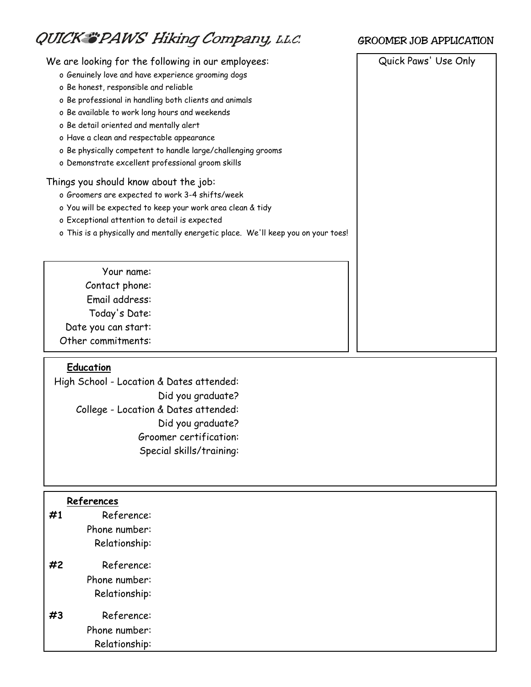# QUICK "PAWS Hiking Company, L.L.C.

## We are looking for the following in our employees:  $\vert$  Quick Paws' Use Only

- o Genuinely love and have experience grooming dogs
- o Be honest, responsible and reliable
- o Be professional in handling both clients and animals
- o Be available to work long hours and weekends
- o Be detail oriented and mentally alert
- o Have a clean and respectable appearance
- o Be physically competent to handle large/challenging grooms
- o Demonstrate excellent professional groom skills

#### Things you should know about the job:

- o Groomers are expected to work 3-4 shifts/week
- o You will be expected to keep your work area clean & tidy
- o Exceptional attention to detail is expected
- o This is a physically and mentally energetic place. We'll keep you on your toes!
	- Your name: Contact phone: Email address: Today's Date:
- Date you can start:

Other commitments:

## **Education**

High School - Location & Dates attended: Did you graduate? College - Location & Dates attended: Did you graduate? Groomer certification: Special skills/training:

#### **References**

| #1 | Reference:    |
|----|---------------|
|    | Phone number: |
|    | Relationship: |
| #2 | Reference:    |
|    | Phone number: |
|    | Relationship: |
|    | Reference:    |

Phone number: Relationship:

## GROOMER JOB APPLICATION